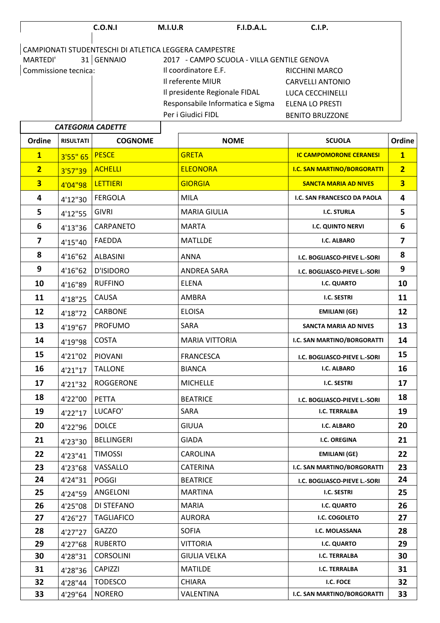|                      | C.O.N.1                                               | <b>M.I.U.R</b>       | <b>F.I.D.A.L.</b>                          | C.I.P.                  |
|----------------------|-------------------------------------------------------|----------------------|--------------------------------------------|-------------------------|
|                      |                                                       |                      |                                            |                         |
|                      | CAMPIONATI STUDENTESCHI DI ATLETICA LEGGERA CAMPESTRE |                      |                                            |                         |
| MARTEDI'             | 31 GENNAIO                                            |                      | 2017 - CAMPO SCUOLA - VILLA GENTILE GENOVA |                         |
| Commissione tecnica: |                                                       | Il coordinatore E.F. |                                            | RICCHINI MARCO          |
|                      |                                                       | Il referente MIUR    |                                            | <b>CARVELLI ANTONIO</b> |
|                      |                                                       |                      | Il presidente Regionale FIDAL              | LUCA CECCHINELLI        |
|                      |                                                       |                      | Responsabile Informatica e Sigma           | ELENA LO PRESTI         |
|                      |                                                       | Per i Giudici FIDL   |                                            | <b>BENITO BRUZZONE</b>  |
|                      | CATEGORIA CADETTE                                     |                      |                                            |                         |

| <b>CATEGORIA CADETTE</b> |                  |                   |                       |                                    |                         |
|--------------------------|------------------|-------------------|-----------------------|------------------------------------|-------------------------|
| Ordine                   | <b>RISULTATI</b> | <b>COGNOME</b>    | <b>NOME</b>           | <b>SCUOLA</b>                      | Ordine                  |
| $\overline{\mathbf{1}}$  | 3'55''65         | <b>PESCE</b>      | <b>GRETA</b>          | <b>IC CAMPOMORONE CERANESI</b>     | $\overline{\mathbf{1}}$ |
| $\overline{2}$           | 3'57"39          | <b>ACHELLI</b>    | <b>ELEONORA</b>       | <b>I.C. SAN MARTINO/BORGORATTI</b> | $\overline{2}$          |
| $\overline{\mathbf{3}}$  | 4'04"98          | <b>LETTIERI</b>   | <b>GIORGIA</b>        | <b>SANCTA MARIA AD NIVES</b>       | $\overline{\mathbf{3}}$ |
| 4                        | 4'12"30          | <b>FERGOLA</b>    | <b>MILA</b>           | I.C. SAN FRANCESCO DA PAOLA        | 4                       |
| 5                        | 4'12"55          | <b>GIVRI</b>      | <b>MARIA GIULIA</b>   | <b>I.C. STURLA</b>                 | 5                       |
| 6                        | 4'13"36          | CARPANETO         | <b>MARTA</b>          | <b>I.C. QUINTO NERVI</b>           | 6                       |
| $\overline{\mathbf{z}}$  | 4'15"40          | <b>FAEDDA</b>     | <b>MATLLDE</b>        | <b>I.C. ALBARO</b>                 | $\overline{7}$          |
| 8                        | 4'16"62          | <b>ALBASINI</b>   | ANNA                  | I.C. BOGLIASCO-PIEVE L.-SORI       | 8                       |
| 9                        | 4'16"62          | <b>D'ISIDORO</b>  | <b>ANDREA SARA</b>    | I.C. BOGLIASCO-PIEVE L.-SORI       | 9                       |
| 10                       | 4'16"89          | <b>RUFFINO</b>    | <b>ELENA</b>          | I.C. QUARTO                        | 10                      |
| 11                       | 4'18"25          | <b>CAUSA</b>      | AMBRA                 | <b>I.C. SESTRI</b>                 | 11                      |
| 12                       | 4'18"72          | <b>CARBONE</b>    | <b>ELOISA</b>         | <b>EMILIANI (GE)</b>               | 12                      |
| 13                       | 4'19"67          | <b>PROFUMO</b>    | <b>SARA</b>           | <b>SANCTA MARIA AD NIVES</b>       | 13                      |
| 14                       | 4'19"98          | <b>COSTA</b>      | <b>MARIA VITTORIA</b> | I.C. SAN MARTINO/BORGORATTI        | 14                      |
| 15                       | 4'21"02          | <b>PIOVANI</b>    | <b>FRANCESCA</b>      | I.C. BOGLIASCO-PIEVE L.-SORI       | 15                      |
| 16                       | 4'21"17          | <b>TALLONE</b>    | <b>BIANCA</b>         | <b>I.C. ALBARO</b>                 | 16                      |
| 17                       | 4'21"32          | <b>ROGGERONE</b>  | <b>MICHELLE</b>       | <b>I.C. SESTRI</b>                 | 17                      |
| 18                       | 4'22"00          | <b>PETTA</b>      | <b>BEATRICE</b>       | I.C. BOGLIASCO-PIEVE L.-SORI       | 18                      |
| 19                       | 4'22"17          | LUCAFO'           | SARA                  | <b>I.C. TERRALBA</b>               | 19                      |
| 20                       | 4'22"96          | <b>DOLCE</b>      | <b>GIUUA</b>          | I.C. ALBARO                        | 20                      |
| 21                       | 4'23"30          | <b>BELLINGERI</b> | <b>GIADA</b>          | <b>I.C. OREGINA</b>                | 21                      |
| 22                       | 4'23"41          | <b>TIMOSSI</b>    | CAROLINA              | <b>EMILIANI (GE)</b>               | 22                      |
| 23                       | 4'23"68          | VASSALLO          | <b>CATERINA</b>       | I.C. SAN MARTINO/BORGORATTI        | 23                      |
| 24                       | 4'24"31          | <b>POGGI</b>      | <b>BEATRICE</b>       | I.C. BOGLIASCO-PIEVE L.-SORI       | 24                      |
| 25                       | 4'24"59          | ANGELONI          | <b>MARTINA</b>        | I.C. SESTRI                        | 25                      |
| 26                       | 4'25"08          | DI STEFANO        | <b>MARIA</b>          | <b>I.C. QUARTO</b>                 | 26                      |
| 27                       | 4'26"27          | <b>TAGLIAFICO</b> | AURORA                | I.C. COGOLETO                      | 27                      |
| 28                       | 4'27"27          | <b>GAZZO</b>      | <b>SOFIA</b>          | I.C. MOLASSANA                     | 28                      |
| 29                       | 4'27"68          | <b>RUBERTO</b>    | <b>VITTORIA</b>       | I.C. QUARTO                        | 29                      |
| 30                       | 4'28"31          | <b>CORSOLINI</b>  | <b>GIULIA VELKA</b>   | <b>I.C. TERRALBA</b>               | 30                      |
| 31                       | 4'28"36          | <b>CAPIZZI</b>    | <b>MATILDE</b>        | <b>I.C. TERRALBA</b>               | 31                      |
| 32                       | 4'28"44          | <b>TODESCO</b>    | <b>CHIARA</b>         | I.C. FOCE                          | 32                      |
| 33                       | 4'29"64          | <b>NORERO</b>     | VALENTINA             | I.C. SAN MARTINO/BORGORATTI        | 33                      |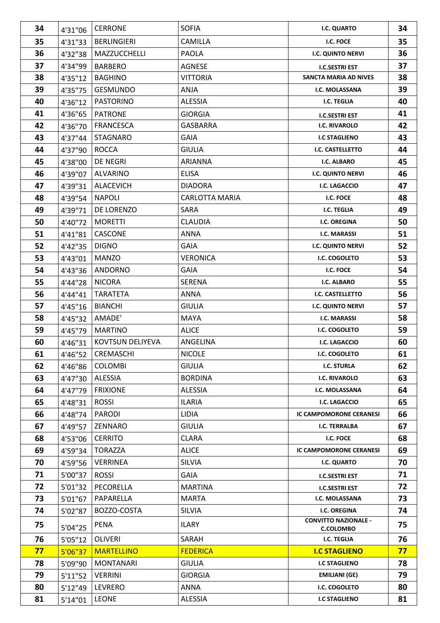| 34 | 4'31"06 | <b>CERRONE</b>          | <b>SOFIA</b>          | I.C. QUARTO                                     | 34 |
|----|---------|-------------------------|-----------------------|-------------------------------------------------|----|
| 35 | 4'31"33 | <b>BERLINGIERI</b>      | <b>CAMILLA</b>        | I.C. FOCE                                       |    |
| 36 | 4'32"38 | MAZZUCCHELLI            | <b>PAOLA</b>          | <b>I.C. QUINTO NERVI</b>                        |    |
| 37 | 4'34"99 | <b>BARBERO</b>          | <b>AGNESE</b>         | <b>I.C.SESTRI EST</b>                           | 37 |
| 38 | 4'35"12 | <b>BAGHINO</b>          | <b>VITTORIA</b>       | <b>SANCTA MARIA AD NIVES</b>                    | 38 |
| 39 | 4'35"75 | <b>GESMUNDO</b>         | <b>ANJA</b>           | I.C. MOLASSANA                                  | 39 |
| 40 | 4'36"12 | <b>PASTORINO</b>        | <b>ALESSIA</b>        | I.C. TEGLIA                                     | 40 |
| 41 | 4'36"65 | <b>PATRONE</b>          | <b>GIORGIA</b>        | <b>I.C.SESTRI EST</b>                           | 41 |
| 42 | 4'36"70 | <b>FRANCESCA</b>        | <b>GASBARRA</b>       | <b>I.C. RIVAROLO</b>                            | 42 |
| 43 | 4'37"44 | <b>STAGNARO</b>         | <b>GAIA</b>           | <b>I.C STAGLIENO</b>                            | 43 |
| 44 | 4'37"90 | <b>ROCCA</b>            | <b>GIULIA</b>         | I.C. CASTELLETTO                                | 44 |
| 45 | 4'38"00 | <b>DE NEGRI</b>         | <b>ARIANNA</b>        | <b>I.C. ALBARO</b>                              | 45 |
| 46 | 4'39"07 | <b>ALVARINO</b>         | <b>ELISA</b>          | <b>I.C. QUINTO NERVI</b>                        | 46 |
| 47 | 4'39"31 | <b>ALACEVICH</b>        | <b>DIADORA</b>        | <b>I.C. LAGACCIO</b>                            | 47 |
| 48 | 4'39"54 | <b>NAPOLI</b>           | <b>CARLOTTA MARIA</b> | I.C. FOCE                                       | 48 |
| 49 | 4'39"71 | DE LORENZO              | SARA                  | <b>I.C. TEGLIA</b>                              | 49 |
| 50 | 4'40"72 | <b>MORETTI</b>          | <b>CLAUDIA</b>        | <b>I.C. OREGINA</b>                             | 50 |
| 51 | 4'41"81 | CASCONE                 | <b>ANNA</b>           | <b>I.C. MARASSI</b>                             | 51 |
| 52 | 4'42"35 | <b>DIGNO</b>            | <b>GAIA</b>           | <b>I.C. QUINTO NERVI</b>                        | 52 |
| 53 | 4'43"01 | MANZO                   | <b>VERONICA</b>       | I.C. COGOLETO                                   | 53 |
| 54 | 4'43"36 | <b>ANDORNO</b>          | <b>GAIA</b>           | I.C. FOCE                                       | 54 |
| 55 | 4'44"28 | <b>NICORA</b>           | <b>SERENA</b>         | I.C. ALBARO                                     | 55 |
| 56 | 4'44"41 | <b>TARATETA</b>         | <b>ANNA</b>           | I.C. CASTELLETTO                                | 56 |
| 57 | 4'45"16 | <b>BIANCHI</b>          | <b>GIULIA</b>         | I.C. QUINTO NERVI                               | 57 |
| 58 | 4'45"32 | AMADE'                  | <b>MAYA</b>           | <b>I.C. MARASSI</b>                             | 58 |
| 59 | 4'45"79 | <b>MARTINO</b>          | <b>ALICE</b>          | I.C. COGOLETO                                   | 59 |
| 60 | 4'46"31 | <b>KOVTSUN DELIYEVA</b> | ANGELINA              | <b>I.C. LAGACCIO</b>                            | 60 |
| 61 | 4'46"52 | CREMASCHI               | <b>NICOLE</b>         | <b>I.C. COGOLETO</b>                            | 61 |
| 62 | 4'46"86 | <b>COLOMBI</b>          | <b>GIULIA</b>         | <b>I.C. STURLA</b>                              | 62 |
| 63 | 4'47"30 | ALESSIA                 | <b>BORDINA</b>        | <b>I.C. RIVAROLO</b>                            | 63 |
| 64 | 4'47"79 | <b>FRIXIONE</b>         | <b>ALESSIA</b>        | I.C. MOLASSANA                                  | 64 |
| 65 | 4'48"31 | <b>ROSSI</b>            | <b>ILARIA</b>         | <b>I.C. LAGACCIO</b>                            | 65 |
| 66 | 4'48"74 | <b>PARODI</b>           | <b>LIDIA</b>          | <b>IC CAMPOMORONE CERANESI</b>                  | 66 |
| 67 | 4'49"57 | ZENNARO                 | <b>GIULIA</b>         | <b>I.C. TERRALBA</b>                            | 67 |
| 68 | 4'53"06 | <b>CERRITO</b>          | <b>CLARA</b>          | I.C. FOCE                                       | 68 |
| 69 | 4'59"34 | <b>TORAZZA</b>          | <b>ALICE</b>          | IC CAMPOMORONE CERANESI                         | 69 |
| 70 | 4'59"56 | <b>VERRINEA</b>         | SILVIA                | I.C. QUARTO                                     | 70 |
| 71 | 5'00"37 | <b>ROSSI</b>            | <b>GAIA</b>           | <b>I.C.SESTRI EST</b>                           | 71 |
| 72 | 5'01"32 | PECORELLA               | <b>MARTINA</b>        | <b>I.C.SESTRI EST</b>                           | 72 |
| 73 | 5'01"67 | PAPARELLA               | <b>MARTA</b>          | I.C. MOLASSANA                                  | 73 |
| 74 | 5'02"87 | BOZZO-COSTA             | <b>SILVIA</b>         | <b>I.C. OREGINA</b>                             | 74 |
| 75 | 5'04"25 | <b>PENA</b>             | <b>ILARY</b>          | <b>CONVITTO NAZIONALE -</b><br><b>C.COLOMBO</b> | 75 |
| 76 | 5'05"12 | <b>OLIVERI</b>          | SARAH                 | I.C. TEGLIA                                     | 76 |
| 77 | 5'06"37 | <b>MARTELLINO</b>       | <b>FEDERICA</b>       | <b>I.C STAGLIENO</b>                            | 77 |
| 78 | 5'09"90 | <b>MONTANARI</b>        | <b>GIULIA</b>         | <b>I.C STAGLIENO</b>                            | 78 |
| 79 | 5'11"52 | <b>VERRINI</b>          | <b>GIORGIA</b>        | <b>EMILIANI (GE)</b>                            | 79 |
| 80 | 5'12"49 | <b>LEVRERO</b>          | ANNA                  | I.C. COGOLETO                                   | 80 |
| 81 | 5'14"01 | <b>LEONE</b>            | ALESSIA               | <b>I.C STAGLIENO</b>                            | 81 |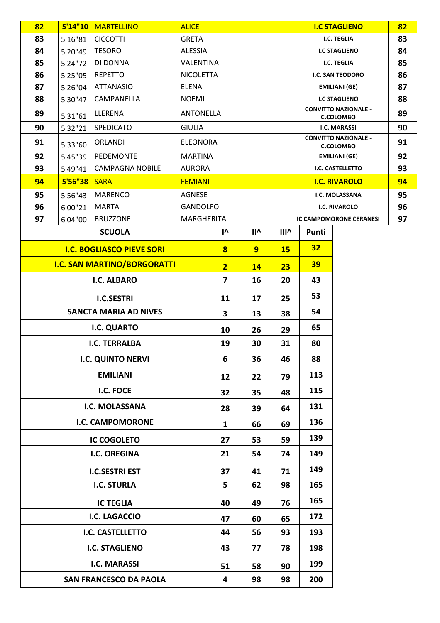| 82                            | 5'14''10 | <b>MARTELLINO</b>                  | <b>ALICE</b>      |                         |                          |             |                  | <b>I.C STAGLIENO</b>                            | 82 |
|-------------------------------|----------|------------------------------------|-------------------|-------------------------|--------------------------|-------------|------------------|-------------------------------------------------|----|
| 83                            | 5'16"81  | <b>CICCOTTI</b>                    | <b>GRETA</b>      |                         |                          |             |                  | <b>I.C. TEGLIA</b>                              | 83 |
| 84                            | 5'20"49  | <b>TESORO</b>                      | <b>ALESSIA</b>    |                         |                          |             |                  | <b>I.C STAGLIENO</b>                            | 84 |
| 85                            | 5'24"72  | DI DONNA                           |                   | VALENTINA               |                          |             |                  | <b>I.C. TEGLIA</b>                              | 85 |
| 86                            | 5'25"05  | <b>REPETTO</b>                     | <b>NICOLETTA</b>  |                         |                          |             | I.C. SAN TEODORO |                                                 | 86 |
| 87                            | 5'26"04  | <b>ATTANASIO</b>                   | <b>ELENA</b>      |                         |                          |             |                  | <b>EMILIANI (GE)</b>                            | 87 |
| 88                            | 5'30"47  | CAMPANELLA                         | <b>NOEMI</b>      |                         |                          |             |                  | <b>I.C STAGLIENO</b>                            | 88 |
| 89                            | 5'31"61  | LLERENA                            | <b>ANTONELLA</b>  |                         |                          |             |                  | <b>CONVITTO NAZIONALE -</b><br><b>C.COLOMBO</b> | 89 |
| 90                            | 5'32"21  | <b>SPEDICATO</b>                   | <b>GIULIA</b>     |                         |                          |             |                  | <b>I.C. MARASSI</b>                             | 90 |
| 91                            | 5'33"60  | <b>ORLANDI</b>                     | <b>ELEONORA</b>   |                         |                          |             |                  | <b>CONVITTO NAZIONALE -</b><br><b>C.COLOMBO</b> | 91 |
| 92                            | 5'45"39  | PEDEMONTE                          | <b>MARTINA</b>    |                         |                          |             |                  | <b>EMILIANI (GE)</b>                            | 92 |
| 93                            | 5'49"41  | <b>CAMPAGNA NOBILE</b>             | <b>AURORA</b>     |                         |                          |             |                  | I.C. CASTELLETTO                                | 93 |
| 94                            | 5'56"38  | <b>SARA</b>                        | <b>FEMIANI</b>    |                         |                          |             |                  | <b>I.C. RIVAROLO</b>                            | 94 |
| 95                            | 5'56"43  | <b>MARENCO</b>                     | AGNESE            |                         |                          |             |                  | I.C. MOLASSANA                                  | 95 |
| 96                            | 6'00"21  | <b>MARTA</b>                       | <b>GANDOLFO</b>   |                         |                          |             |                  | <b>I.C. RIVAROLO</b>                            | 96 |
| 97                            | 6'04"00  | <b>BRUZZONE</b>                    | <b>MARGHERITA</b> |                         |                          |             |                  | <b>IC CAMPOMORONE CERANESI</b>                  | 97 |
|                               |          | <b>SCUOLA</b>                      |                   | $\mathsf{I}^\mathsf{v}$ | $\mathsf{II}^\mathsf{A}$ | <b>IIIv</b> | Punti            |                                                 |    |
|                               |          | <b>I.C. BOGLIASCO PIEVE SORI</b>   |                   | $\overline{\mathbf{8}}$ | 9                        | <b>15</b>   | 32               |                                                 |    |
|                               |          | <b>I.C. SAN MARTINO/BORGORATTI</b> |                   | $\overline{2}$          | <b>14</b>                | 23          | 39               |                                                 |    |
|                               |          | <b>I.C. ALBARO</b>                 |                   | $\overline{\mathbf{z}}$ | 16                       | 20          | 43               |                                                 |    |
|                               |          | <b>I.C.SESTRI</b>                  |                   | 11                      | 17                       | 25          | 53               |                                                 |    |
|                               |          | <b>SANCTA MARIA AD NIVES</b>       |                   | 3                       | 13                       | 38          | 54               |                                                 |    |
|                               |          | I.C. QUARTO                        |                   | 10                      | 26                       | 29          | 65               |                                                 |    |
|                               |          | <b>I.C. TERRALBA</b>               |                   | 19                      | 30                       | 31          | 80               |                                                 |    |
|                               |          | <b>I.C. QUINTO NERVI</b>           |                   | 6                       | 36                       | 46          | 88               |                                                 |    |
|                               |          | <b>EMILIANI</b>                    |                   | 12                      | 22                       | 79          | 113              |                                                 |    |
|                               |          | I.C. FOCE                          |                   | 32                      | 35                       | 48          | 115              |                                                 |    |
|                               |          | I.C. MOLASSANA                     |                   | 28                      | 39                       | 64          | 131              |                                                 |    |
|                               |          | <b>I.C. CAMPOMORONE</b>            |                   | $\mathbf{1}$            | 66                       | 69          | 136              |                                                 |    |
|                               |          | <b>IC COGOLETO</b>                 |                   | 27                      | 53                       | 59          | 139              |                                                 |    |
|                               |          | <b>I.C. OREGINA</b>                |                   | 21                      | 54                       | 74          | 149              |                                                 |    |
|                               |          | <b>I.C.SESTRI EST</b>              |                   | 37                      | 41                       | 71          | 149              |                                                 |    |
| <b>I.C. STURLA</b>            |          |                                    | 5                 | 62                      | 98                       | 165         |                  |                                                 |    |
| <b>IC TEGLIA</b>              |          |                                    | 40                | 49                      | 76                       | 165         |                  |                                                 |    |
| <b>I.C. LAGACCIO</b>          |          |                                    | 47                | 60                      | 65                       | 172         |                  |                                                 |    |
|                               |          | <b>I.C. CASTELLETTO</b>            |                   | 44                      | 56                       | 93          | 193              |                                                 |    |
| <b>I.C. STAGLIENO</b>         |          |                                    | 43                | 77                      | 78                       | 198         |                  |                                                 |    |
|                               |          | <b>I.C. MARASSI</b>                |                   | 51                      | 58                       | 90          | 199              |                                                 |    |
| <b>SAN FRANCESCO DA PAOLA</b> |          |                                    | 4                 | 98                      | 98                       | 200         |                  |                                                 |    |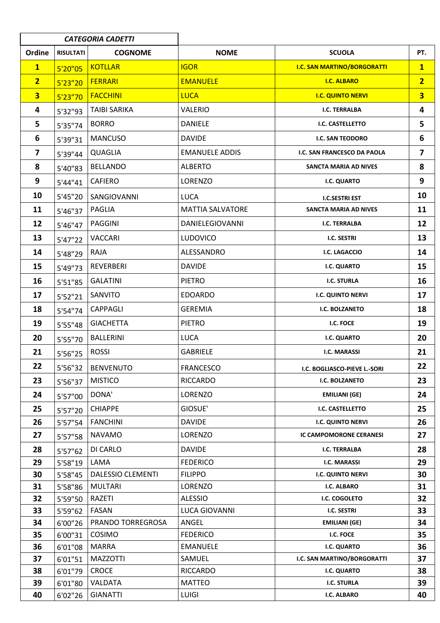|                         | <b>CATEGORIA CADETTI</b> |                          |                         |                                    |                         |
|-------------------------|--------------------------|--------------------------|-------------------------|------------------------------------|-------------------------|
| Ordine                  | <b>RISULTATI</b>         | <b>COGNOME</b>           | <b>NOME</b>             | <b>SCUOLA</b>                      | PT.                     |
| $\mathbf{1}$            | 5'20''05                 | <b>KOTLLAR</b>           | <b>IGOR</b>             | <b>I.C. SAN MARTINO/BORGORATTI</b> | $\mathbf{1}$            |
| $\overline{2}$          | 5'23''20                 | <b>FERRARI</b>           | <b>EMANUELE</b>         | <b>I.C. ALBARO</b>                 | $\overline{2}$          |
| $\overline{\mathbf{3}}$ | 5'23''70                 | <b>FACCHINI</b>          | <b>LUCA</b>             | <b>I.C. QUINTO NERVI</b>           | $\overline{\mathbf{3}}$ |
| 4                       | 5'32"93                  | <b>TAIBI SARIKA</b>      | <b>VALERIO</b>          | <b>I.C. TERRALBA</b>               | $\overline{\mathbf{4}}$ |
| 5                       | 5'35"74                  | <b>BORRO</b>             | <b>DANIELE</b>          | I.C. CASTELLETTO                   | 5                       |
| 6                       | 5'39"31                  | <b>MANCUSO</b>           | <b>DAVIDE</b>           | I.C. SAN TEODORO                   | 6                       |
| $\overline{\mathbf{z}}$ | 5'39"44                  | <b>QUAGLIA</b>           | <b>EMANUELE ADDIS</b>   | I.C. SAN FRANCESCO DA PAOLA        | $\overline{\mathbf{z}}$ |
| 8                       | 5'40"83                  | <b>BELLANDO</b>          | <b>ALBERTO</b>          | SANCTA MARIA AD NIVES              | 8                       |
| 9                       | 5'44"41                  | <b>CAFIERO</b>           | LORENZO                 | I.C. QUARTO                        | 9                       |
| 10                      | 5'45"20                  | SANGIOVANNI              | <b>LUCA</b>             | <b>I.C.SESTRI EST</b>              | 10                      |
| 11                      | 5'46"37                  | PAGLIA                   | <b>MATTIA SALVATORE</b> | SANCTA MARIA AD NIVES              | 11                      |
| 12                      | 5'46"47                  | <b>PAGGINI</b>           | DANIELEGIOVANNI         | <b>I.C. TERRALBA</b>               | 12                      |
| 13                      | 5'47"22                  | <b>VACCARI</b>           | <b>LUDOVICO</b>         | <b>I.C. SESTRI</b>                 | 13                      |
| 14                      | 5'48"29                  | RAJA                     | ALESSANDRO              | <b>I.C. LAGACCIO</b>               | 14                      |
| 15                      | 5'49"73                  | <b>REVERBERI</b>         | <b>DAVIDE</b>           | I.C. QUARTO                        | 15                      |
| 16                      | 5'51"85                  | <b>GALATINI</b>          | <b>PIETRO</b>           | <b>I.C. STURLA</b>                 | 16                      |
| 17                      | 5'52"21                  | SANVITO                  | <b>EDOARDO</b>          | I.C. QUINTO NERVI                  | 17                      |
| 18                      | 5'54"74                  | <b>CAPPAGLI</b>          | <b>GEREMIA</b>          | I.C. BOLZANETO                     | 18                      |
| 19                      | 5'55"48                  | <b>GIACHETTA</b>         | <b>PIETRO</b>           | I.C. FOCE                          | 19                      |
| 20                      | 5'55"70                  | <b>BALLERINI</b>         | <b>LUCA</b>             | <b>I.C. QUARTO</b>                 | 20                      |
| 21                      | 5'56"25                  | <b>ROSSI</b>             | <b>GABRIELE</b>         | I.C. MARASSI                       | 21                      |
| 22                      | 5'56"32                  | <b>BENVENUTO</b>         | <b>FRANCESCO</b>        | I.C. BOGLIASCO-PIEVE L.-SORI       | 22                      |
| 23                      | 5'56"37                  | <b>MISTICO</b>           | <b>RICCARDO</b>         | I.C. BOLZANETO                     | 23                      |
| 24                      | 5'57"00                  | DONA'                    | LORENZO                 | <b>EMILIANI (GE)</b>               | 24                      |
| 25                      | 5'57"20                  | <b>CHIAPPE</b>           | GIOSUE'                 | I.C. CASTELLETTO                   | 25                      |
| 26                      | 5'57"54                  | <b>FANCHINI</b>          | <b>DAVIDE</b>           | <b>I.C. QUINTO NERVI</b>           | 26                      |
| 27                      | 5'57"58                  | <b>NAVAMO</b>            | LORENZO                 | IC CAMPOMORONE CERANESI            | 27                      |
| 28                      | 5'57"62                  | DI CARLO                 | <b>DAVIDE</b>           | I.C. TERRALBA                      | 28                      |
| 29                      | 5'58"19                  | LAMA                     | <b>FEDERICO</b>         | <b>I.C. MARASSI</b>                | 29                      |
| 30                      | 5'58"45                  | <b>DALESSIO CLEMENTI</b> | <b>FILIPPO</b>          | I.C. QUINTO NERVI                  | 30                      |
| 31                      | 5'58"86                  | <b>MULTARI</b>           | LORENZO                 | I.C. ALBARO                        | 31                      |
| 32                      | 5'59"50                  | RAZETI                   | <b>ALESSIO</b>          | I.C. COGOLETO                      | 32                      |
| 33                      | 5'59"62                  | FASAN                    | <b>LUCA GIOVANNI</b>    | I.C. SESTRI                        | 33                      |
| 34                      | 6'00"26                  | PRANDO TORREGROSA        | ANGEL                   | <b>EMILIANI (GE)</b>               | 34                      |
| 35                      | 6'00"31                  | COSIMO                   | <b>FEDERICO</b>         | I.C. FOCE                          | 35                      |
| 36                      | 6'01"08                  | <b>MARRA</b>             | <b>EMANUELE</b>         | I.C. QUARTO                        | 36                      |
| 37                      | 6'01"51                  | <b>MAZZOTTI</b>          | SAMUEL                  | I.C. SAN MARTINO/BORGORATTI        | 37                      |
| 38                      | 6'01"79                  | <b>CROCE</b>             | <b>RICCARDO</b>         | I.C. QUARTO                        | 38                      |
| 39                      | 6'01"80                  | VALDATA                  | <b>MATTEO</b>           | <b>I.C. STURLA</b>                 | 39                      |
| 40                      | 6'02"26                  | <b>GIANATTI</b>          | LUIGI                   | I.C. ALBARO                        | 40                      |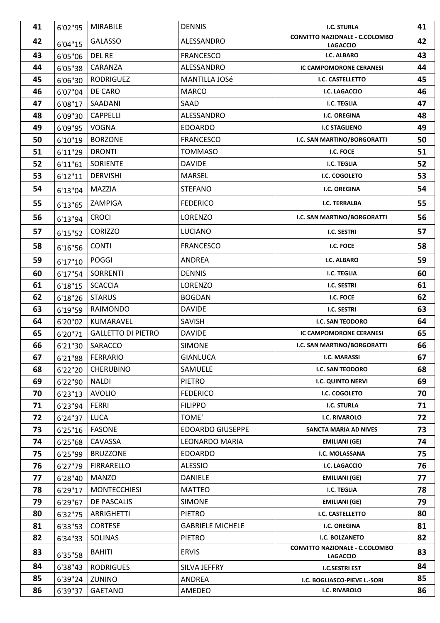| 41       | 6'02"95  | <b>MIRABILE</b>                  | <b>DENNIS</b>                            | <b>I.C. STURLA</b>                                       | 41       |
|----------|----------|----------------------------------|------------------------------------------|----------------------------------------------------------|----------|
| 42       | 6'04"15  | <b>GALASSO</b>                   | ALESSANDRO                               | <b>CONVITTO NAZIONALE - C.COLOMBO</b><br><b>LAGACCIO</b> | 42       |
| 43       | 6'05"06  | <b>DEL RE</b>                    | <b>FRANCESCO</b>                         | I.C. ALBARO                                              | 43       |
| 44       | 6'05"38  | CARANZA                          | ALESSANDRO                               | <b>IC CAMPOMORONE CERANESI</b>                           | 44       |
| 45       | 6'06"30  | <b>RODRIGUEZ</b>                 | MANTILLA JOSé                            | I.C. CASTELLETTO                                         | 45       |
| 46       | 6'07"04  | DE CARO                          | <b>MARCO</b>                             | I.C. LAGACCIO                                            | 46       |
| 47       | 6'08"17  | SAADANI                          | SAAD                                     | <b>I.C. TEGLIA</b>                                       | 47       |
| 48       | 6'09"30  | <b>CAPPELLI</b>                  | ALESSANDRO                               | <b>I.C. OREGINA</b>                                      | 48       |
| 49       | 6'09"95  | <b>VOGNA</b>                     | <b>EDOARDO</b>                           | <b>I.C STAGLIENO</b>                                     | 49       |
| 50       | 6'10"19  | <b>BORZONE</b>                   | <b>FRANCESCO</b>                         | I.C. SAN MARTINO/BORGORATTI                              | 50       |
| 51       | 6'11"29  | <b>DRONTI</b>                    | <b>TOMMASO</b>                           | I.C. FOCE                                                | 51       |
| 52       | 6'11''61 | <b>SORIENTE</b>                  | <b>DAVIDE</b>                            | I.C. TEGLIA                                              | 52       |
| 53       | 6'12''11 | <b>DERVISHI</b>                  | MARSEL                                   | I.C. COGOLETO                                            | 53       |
| 54       | 6'13"04  | <b>MAZZIA</b>                    | <b>STEFANO</b>                           | <b>I.C. OREGINA</b>                                      | 54       |
| 55       | 6'13"65  | ZAMPIGA                          | <b>FEDERICO</b>                          | <b>I.C. TERRALBA</b>                                     | 55       |
| 56       | 6'13"94  | <b>CROCI</b>                     | LORENZO                                  | I.C. SAN MARTINO/BORGORATTI                              | 56       |
| 57       | 6'15''52 | <b>CORIZZO</b>                   | <b>LUCIANO</b>                           | I.C. SESTRI                                              | 57       |
| 58       | 6'16"56  | <b>CONTI</b>                     | <b>FRANCESCO</b>                         | I.C. FOCE                                                | 58       |
| 59       | 6'17''10 | <b>POGGI</b>                     | <b>ANDREA</b>                            | I.C. ALBARO                                              | 59       |
| 60       | 6'17"54  | <b>SORRENTI</b>                  | <b>DENNIS</b>                            | <b>I.C. TEGLIA</b>                                       | 60       |
| 61       | 6'18''15 | <b>SCACCIA</b>                   | LORENZO                                  | I.C. SESTRI                                              | 61       |
| 62       | 6'18"26  | <b>STARUS</b>                    | <b>BOGDAN</b>                            | I.C. FOCE                                                | 62       |
| 63       | 6'19"59  | <b>RAIMONDO</b>                  | <b>DAVIDE</b>                            | I.C. SESTRI                                              | 63       |
| 64       | 6'20"02  | KUMARAVEL                        | SAVISH                                   | I.C. SAN TEODORO                                         | 64       |
| 65       | 6'20"71  | <b>GALLETTO DI PIETRO</b>        | <b>DAVIDE</b>                            | <b>IC CAMPOMORONE CERANESI</b>                           | 65       |
| 66       | 6'21"30  | SARACCO                          | <b>SIMONE</b>                            | I.C. SAN MARTINO/BORGORATTI                              | 66       |
| 67       | 6'21"88  | <b>FERRARIO</b>                  | <b>GIANLUCA</b>                          | I.C. MARASSI                                             | 67       |
| 68       | 6'22"20  | <b>CHERUBINO</b>                 | SAMUELE                                  | <b>I.C. SAN TEODORO</b>                                  | 68       |
| 69       | 6'22"90  | <b>NALDI</b>                     | <b>PIETRO</b>                            | I.C. QUINTO NERVI                                        | 69       |
| 70       | 6'23''13 | <b>AVOLIO</b>                    | <b>FEDERICO</b>                          | I.C. COGOLETO                                            | 70       |
| 71       | 6'23"94  | <b>FERRI</b>                     | <b>FILIPPO</b>                           | <b>I.C. STURLA</b>                                       | 71       |
| 72       | 6'24"37  | LUCA                             | TOME'                                    | <b>I.C. RIVAROLO</b>                                     | 72       |
| 73       | 6'25"16  | <b>FASONE</b>                    | <b>EDOARDO GIUSEPPE</b>                  | SANCTA MARIA AD NIVES                                    | 73       |
| 74       | 6'25"68  | CAVASSA                          | LEONARDO MARIA                           | <b>EMILIANI (GE)</b>                                     | 74       |
| 75       | 6'25"99  | <b>BRUZZONE</b>                  | <b>EDOARDO</b>                           | I.C. MOLASSANA                                           | 75       |
| 76       | 6'27"79  | <b>FIRRARELLO</b>                | <b>ALESSIO</b>                           | I.C. LAGACCIO                                            | 76       |
| 77       | 6'28"40  | MANZO                            | DANIELE                                  | <b>EMILIANI (GE)</b>                                     | 77       |
| 78       | 6'29"17  | <b>MONTECCHIESI</b>              | <b>MATTEO</b>                            | I.C. TEGLIA                                              | 78       |
| 79       | 6'29"67  | DE PASCALIS                      | <b>SIMONE</b>                            | EMILIANI (GE)                                            | 79       |
| 80<br>81 | 6'32"75  | ARRIGHETTI                       | <b>PIETRO</b>                            | I.C. CASTELLETTO<br><b>I.C. OREGINA</b>                  | 80<br>81 |
| 82       | 6'33"53  | <b>CORTESE</b><br><b>SOLINAS</b> | <b>GABRIELE MICHELE</b><br><b>PIETRO</b> | I.C. BOLZANETO                                           | 82       |
|          | 6'34"33  |                                  |                                          | <b>CONVITTO NAZIONALE - C.COLOMBO</b>                    |          |
| 83       | 6'35"58  | <b>BAHITI</b>                    | <b>ERVIS</b>                             | <b>LAGACCIO</b>                                          | 83       |
| 84       | 6'38"43  | <b>RODRIGUES</b>                 | SILVA JEFFRY                             | <b>I.C.SESTRI EST</b>                                    | 84       |
| 85       | 6'39"24  | ZUNINO                           | ANDREA                                   | I.C. BOGLIASCO-PIEVE L.-SORI                             | 85       |
| 86       | 6'39"37  | GAETANO                          | AMEDEO                                   | <b>I.C. RIVAROLO</b>                                     | 86       |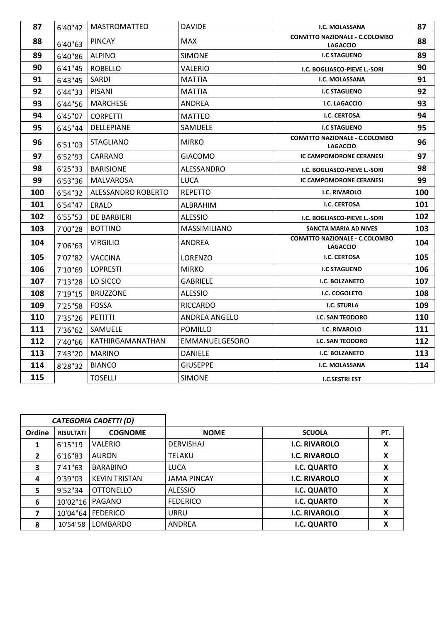| 87  | 6'40"42  | <b>MASTROMATTEO</b> | <b>DAVIDE</b>        | <b>I.C. MOLASSANA</b>                                    | 87  |
|-----|----------|---------------------|----------------------|----------------------------------------------------------|-----|
| 88  | 6'40"63  | <b>PINCAY</b>       | MAX                  | <b>CONVITTO NAZIONALE - C.COLOMBO</b><br><b>LAGACCIO</b> | 88  |
| 89  | 6'40"86  | <b>ALPINO</b>       | <b>SIMONE</b>        | <b>I.C STAGLIENO</b>                                     | 89  |
| 90  | 6'41"45  | <b>ROBELLO</b>      | <b>VALERIO</b>       | I.C. BOGLIASCO-PIEVE L.-SORI                             | 90  |
| 91  | 6'43''45 | SARDI               | MATTIA               | <b>I.C. MOLASSANA</b>                                    | 91  |
| 92  | 6'44"33  | PISANI              | MATTIA               | <b>I.C STAGLIENO</b>                                     | 92  |
| 93  | 6'44"56  | <b>MARCHESE</b>     | ANDREA               | <b>I.C. LAGACCIO</b>                                     | 93  |
| 94  | 6'45"07  | <b>CORPETTI</b>     | <b>MATTEO</b>        | <b>I.C. CERTOSA</b>                                      | 94  |
| 95  | 6'45''44 | DELLEPIANE          | SAMUELE              | <b>I.C STAGLIENO</b>                                     | 95  |
| 96  | 6'51"03  | <b>STAGLIANO</b>    | <b>MIRKO</b>         | <b>CONVITTO NAZIONALE - C.COLOMBO</b><br><b>LAGACCIO</b> | 96  |
| 97  | 6'52"93  | CARRANO             | <b>GIACOMO</b>       | <b>IC CAMPOMORONE CERANESI</b>                           | 97  |
| 98  | 6'25"33  | <b>BARISIONE</b>    | ALESSANDRO           | I.C. BOGLIASCO-PIEVE L.-SORI                             | 98  |
| 99  | 6'53"36  | MALVAROSA           | <b>LUCA</b>          | <b>IC CAMPOMORONE CERANESI</b>                           | 99  |
| 100 | 6'54"32  | ALESSANDRO ROBERTO  | <b>REPETTO</b>       | <b>I.C. RIVAROLO</b>                                     | 100 |
| 101 | 6'54"47  | ERALD               | ALBRAHIM             | <b>I.C. CERTOSA</b>                                      | 101 |
| 102 | 6'55"53  | <b>DE BARBIERI</b>  | <b>ALESSIO</b>       | I.C. BOGLIASCO-PIEVE L.-SORI                             | 102 |
| 103 | 7'00"28  | <b>BOTTINO</b>      | <b>MASSIMILIANO</b>  | SANCTA MARIA AD NIVES                                    | 103 |
| 104 | 7'06"63  | <b>VIRGILIO</b>     | ANDREA               | <b>CONVITTO NAZIONALE - C.COLOMBO</b><br><b>LAGACCIO</b> | 104 |
| 105 | 7'07"82  | <b>VACCINA</b>      | LORENZO              | <b>I.C. CERTOSA</b>                                      | 105 |
| 106 | 7'10"69  | <b>LOPRESTI</b>     | <b>MIRKO</b>         | <b>I.C STAGLIENO</b>                                     | 106 |
| 107 | 7'13"28  | LO SICCO            | <b>GABRIELE</b>      | <b>I.C. BOLZANETO</b>                                    | 107 |
| 108 | 7'19"15  | <b>BRUZZONE</b>     | <b>ALESSIO</b>       | I.C. COGOLETO                                            | 108 |
| 109 | 7'25"58  | <b>FOSSA</b>        | <b>RICCARDO</b>      | <b>I.C. STURLA</b>                                       | 109 |
| 110 | 7'35"26  | PETITTI             | <b>ANDREA ANGELO</b> | I.C. SAN TEODORO                                         | 110 |
| 111 | 7'36"62  | SAMUELE             | <b>POMILLO</b>       | <b>I.C. RIVAROLO</b>                                     | 111 |
| 112 | 7'40"66  | KATHIRGAMANATHAN    | EMMANUELGESORO       | I.C. SAN TEODORO                                         | 112 |
| 113 | 7'43"20  | <b>MARINO</b>       | <b>DANIELE</b>       | I.C. BOLZANETO                                           | 113 |
| 114 | 8'28"32  | <b>BIANCO</b>       | <b>GIUSEPPE</b>      | <b>I.C. MOLASSANA</b>                                    | 114 |
| 115 |          | <b>TOSELLI</b>      | <b>SIMONE</b>        | <b>I.C.SESTRI EST</b>                                    |     |

|              |                  | <b>CATEGORIA CADETTI (D)</b> |                    |                      |     |
|--------------|------------------|------------------------------|--------------------|----------------------|-----|
| Ordine       | <b>RISULTATI</b> | <b>COGNOME</b>               | <b>NOME</b>        | <b>SCUOLA</b>        | PT. |
|              | 6'15"19          | <b>VALERIO</b>               | <b>DERVISHAJ</b>   | <b>I.C. RIVAROLO</b> | X   |
| $\mathbf{z}$ | 6'16"83          | <b>AURON</b>                 | <b>TELAKU</b>      | <b>I.C. RIVAROLO</b> | χ   |
| 3            | 7'41"63          | <b>BARABINO</b>              | <b>LUCA</b>        | <b>I.C. QUARTO</b>   | χ   |
| 4            | 9'39"03          | <b>KEVIN TRISTAN</b>         | <b>JAMA PINCAY</b> | <b>I.C. RIVAROLO</b> | χ   |
| 5            | 9'52"34          | <b>OTTONELLO</b>             | <b>ALESSIO</b>     | <b>I.C. QUARTO</b>   | X   |
| 6            | 10'02"16         | PAGANO                       | <b>FEDERICO</b>    | <b>I.C. QUARTO</b>   | χ   |
|              | 10'04"64         | <b>FEDERICO</b>              | URRU               | <b>I.C. RIVAROLO</b> | χ   |
| 8            | 10'54"58         | <b>LOMBARDO</b>              | ANDREA             | I.C. QUARTO          | χ   |